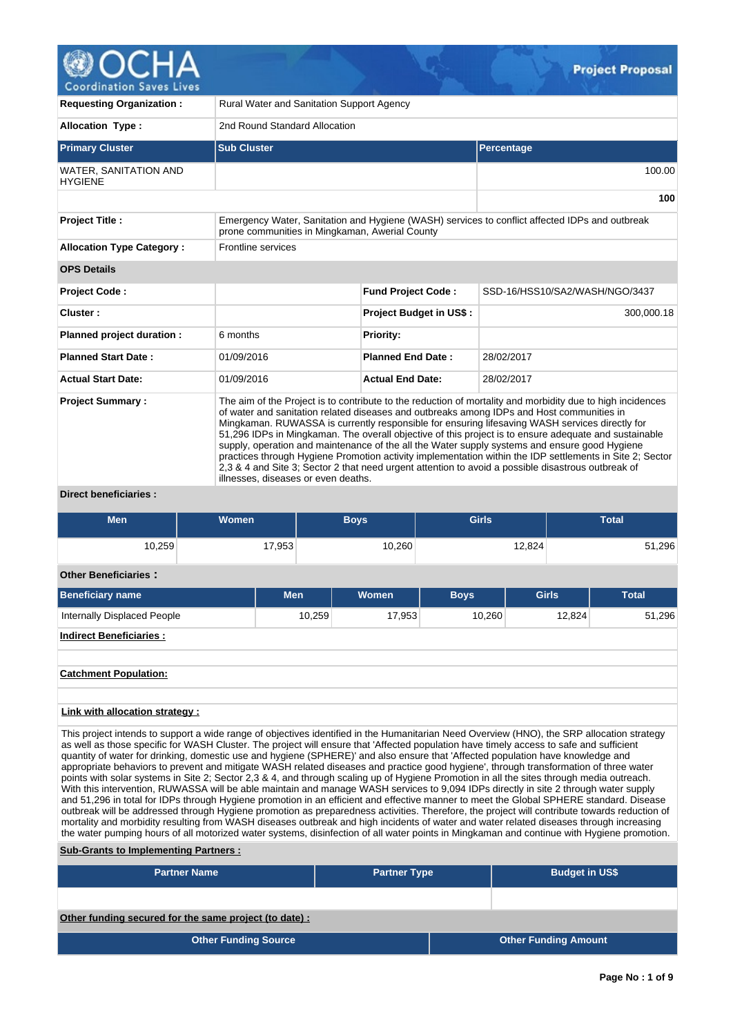

| <b>Requesting Organization:</b>                |                                                                                                                                                                                                                                                                                                                                                                                                                                                                                                                                                                                                                                                                                                                                                                              | Rural Water and Sanitation Support Agency |                                |  |  |  |  |  |  |
|------------------------------------------------|------------------------------------------------------------------------------------------------------------------------------------------------------------------------------------------------------------------------------------------------------------------------------------------------------------------------------------------------------------------------------------------------------------------------------------------------------------------------------------------------------------------------------------------------------------------------------------------------------------------------------------------------------------------------------------------------------------------------------------------------------------------------------|-------------------------------------------|--------------------------------|--|--|--|--|--|--|
| <b>Allocation Type:</b>                        |                                                                                                                                                                                                                                                                                                                                                                                                                                                                                                                                                                                                                                                                                                                                                                              | 2nd Round Standard Allocation             |                                |  |  |  |  |  |  |
| <b>Primary Cluster</b>                         | <b>Sub Cluster</b>                                                                                                                                                                                                                                                                                                                                                                                                                                                                                                                                                                                                                                                                                                                                                           |                                           | <b>Percentage</b>              |  |  |  |  |  |  |
| <b>WATER, SANITATION AND</b><br><b>HYGIENE</b> |                                                                                                                                                                                                                                                                                                                                                                                                                                                                                                                                                                                                                                                                                                                                                                              |                                           | 100.00                         |  |  |  |  |  |  |
|                                                |                                                                                                                                                                                                                                                                                                                                                                                                                                                                                                                                                                                                                                                                                                                                                                              |                                           | 100                            |  |  |  |  |  |  |
| <b>Project Title:</b>                          | Emergency Water, Sanitation and Hygiene (WASH) services to conflict affected IDPs and outbreak<br>prone communities in Mingkaman, Awerial County                                                                                                                                                                                                                                                                                                                                                                                                                                                                                                                                                                                                                             |                                           |                                |  |  |  |  |  |  |
| <b>Allocation Type Category:</b>               | <b>Frontline services</b>                                                                                                                                                                                                                                                                                                                                                                                                                                                                                                                                                                                                                                                                                                                                                    |                                           |                                |  |  |  |  |  |  |
| <b>OPS Details</b>                             |                                                                                                                                                                                                                                                                                                                                                                                                                                                                                                                                                                                                                                                                                                                                                                              |                                           |                                |  |  |  |  |  |  |
| <b>Project Code:</b>                           |                                                                                                                                                                                                                                                                                                                                                                                                                                                                                                                                                                                                                                                                                                                                                                              | <b>Fund Project Code:</b>                 | SSD-16/HSS10/SA2/WASH/NGO/3437 |  |  |  |  |  |  |
| Cluster:                                       |                                                                                                                                                                                                                                                                                                                                                                                                                                                                                                                                                                                                                                                                                                                                                                              | <b>Project Budget in US\$:</b>            | 300,000.18                     |  |  |  |  |  |  |
| Planned project duration :                     | 6 months                                                                                                                                                                                                                                                                                                                                                                                                                                                                                                                                                                                                                                                                                                                                                                     | <b>Priority:</b>                          |                                |  |  |  |  |  |  |
| <b>Planned Start Date:</b>                     | 01/09/2016                                                                                                                                                                                                                                                                                                                                                                                                                                                                                                                                                                                                                                                                                                                                                                   | <b>Planned End Date:</b>                  | 28/02/2017                     |  |  |  |  |  |  |
| <b>Actual Start Date:</b>                      | 01/09/2016                                                                                                                                                                                                                                                                                                                                                                                                                                                                                                                                                                                                                                                                                                                                                                   | <b>Actual End Date:</b>                   | 28/02/2017                     |  |  |  |  |  |  |
| <b>Project Summary:</b>                        | The aim of the Project is to contribute to the reduction of mortality and morbidity due to high incidences<br>of water and sanitation related diseases and outbreaks among IDPs and Host communities in<br>Mingkaman. RUWASSA is currently responsible for ensuring lifesaving WASH services directly for<br>51,296 IDPs in Mingkaman. The overall objective of this project is to ensure adequate and sustainable<br>supply, operation and maintenance of the all the Water supply systems and ensure good Hygiene<br>practices through Hygiene Promotion activity implementation within the IDP settlements in Site 2; Sector<br>2.3 & 4 and Site 3; Sector 2 that need urgent attention to avoid a possible disastrous outbreak of<br>illnesses, diseases or even deaths. |                                           |                                |  |  |  |  |  |  |

**Direct beneficiaries :**

| <b>Men</b>                         | <b>Women</b> |            | <b>Boys</b> |              | <b>Girls</b> |              | <b>Total</b>     |  |
|------------------------------------|--------------|------------|-------------|--------------|--------------|--------------|------------------|--|
| 10,259                             |              | 17,953     |             | 10,260       |              | 12,824       | 51,296           |  |
| <b>Other Beneficiaries:</b>        |              |            |             |              |              |              |                  |  |
| <b>Beneficiary name</b>            |              | <b>Men</b> |             | <b>Women</b> | <b>Boys</b>  | <b>Girls</b> | <b>Total</b>     |  |
| <b>Internally Displaced People</b> |              |            | 10,259      | 17,953       | 10,260       |              | 51,296<br>12,824 |  |
| <b>Indirect Beneficiaries:</b>     |              |            |             |              |              |              |                  |  |
|                                    |              |            |             |              |              |              |                  |  |
| <b>Catchment Population:</b>       |              |            |             |              |              |              |                  |  |

### **Link with allocation strategy :**

This project intends to support a wide range of objectives identified in the Humanitarian Need Overview (HNO), the SRP allocation strategy as well as those specific for WASH Cluster. The project will ensure that 'Affected population have timely access to safe and sufficient quantity of water for drinking, domestic use and hygiene (SPHERE)' and also ensure that 'Affected population have knowledge and appropriate behaviors to prevent and mitigate WASH related diseases and practice good hygiene', through transformation of three water points with solar systems in Site 2; Sector 2,3 & 4, and through scaling up of Hygiene Promotion in all the sites through media outreach. With this intervention, RUWASSA will be able maintain and manage WASH services to 9,094 IDPs directly in site 2 through water supply and 51,296 in total for IDPs through Hygiene promotion in an efficient and effective manner to meet the Global SPHERE standard. Disease outbreak will be addressed through Hygiene promotion as preparedness activities. Therefore, the project will contribute towards reduction of mortality and morbidity resulting from WASH diseases outbreak and high incidents of water and water related diseases through increasing the water pumping hours of all motorized water systems, disinfection of all water points in Mingkaman and continue with Hygiene promotion.

#### **Sub-Grants to Implementing Partners :**

| <b>Partner Name</b>                                   | <b>Partner Type</b> | <b>Budget in US\$</b>       |
|-------------------------------------------------------|---------------------|-----------------------------|
|                                                       |                     |                             |
| Other funding secured for the same project (to date): |                     |                             |
| <b>Other Funding Source</b>                           |                     | <b>Other Funding Amount</b> |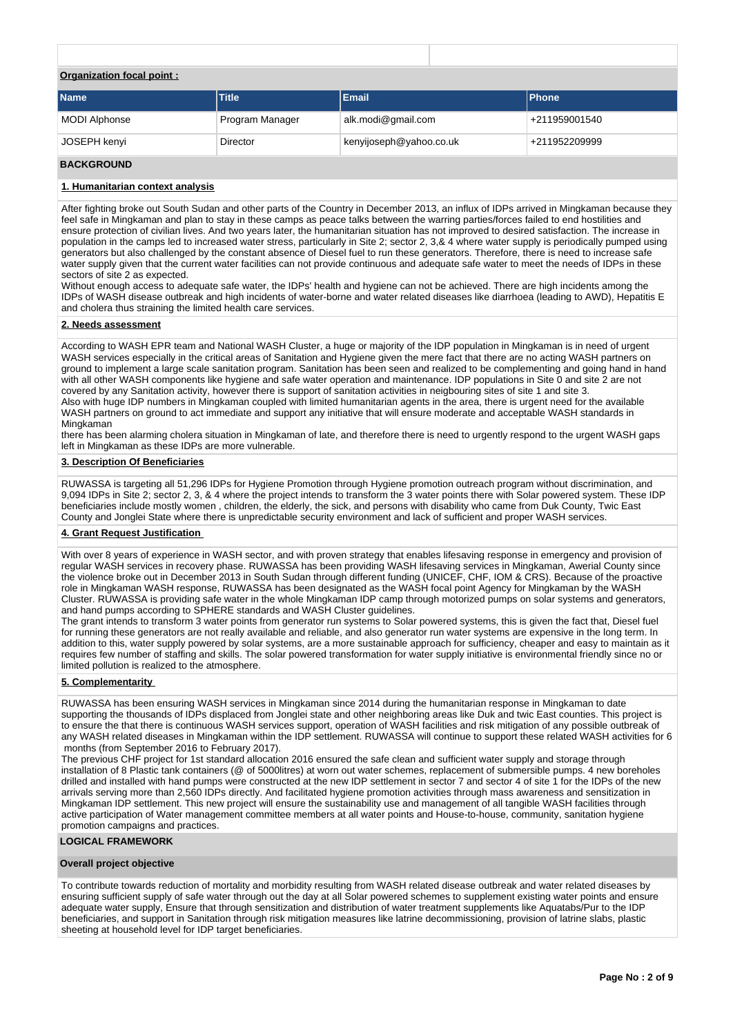## **Organization focal point :**

| <b>Name</b>   | <b>Title</b>    | <b>Email</b>            | <b>IPhone</b> |
|---------------|-----------------|-------------------------|---------------|
| MODI Alphonse | Program Manager | alk.modi@gmail.com      | +211959001540 |
| JOSEPH kenyi  | Director        | kenyijoseph@yahoo.co.uk | +211952209999 |

### **BACKGROUND**

### **1. Humanitarian context analysis**

After fighting broke out South Sudan and other parts of the Country in December 2013, an influx of IDPs arrived in Mingkaman because they feel safe in Mingkaman and plan to stay in these camps as peace talks between the warring parties/forces failed to end hostilities and ensure protection of civilian lives. And two years later, the humanitarian situation has not improved to desired satisfaction. The increase in population in the camps led to increased water stress, particularly in Site 2; sector 2, 3,& 4 where water supply is periodically pumped using generators but also challenged by the constant absence of Diesel fuel to run these generators. Therefore, there is need to increase safe water supply given that the current water facilities can not provide continuous and adequate safe water to meet the needs of IDPs in these sectors of site 2 as expected.

Without enough access to adequate safe water, the IDPs' health and hygiene can not be achieved. There are high incidents among the IDPs of WASH disease outbreak and high incidents of water-borne and water related diseases like diarrhoea (leading to AWD), Hepatitis E and cholera thus straining the limited health care services.

### **2. Needs assessment**

According to WASH EPR team and National WASH Cluster, a huge or majority of the IDP population in Mingkaman is in need of urgent WASH services especially in the critical areas of Sanitation and Hygiene given the mere fact that there are no acting WASH partners on ground to implement a large scale sanitation program. Sanitation has been seen and realized to be complementing and going hand in hand with all other WASH components like hygiene and safe water operation and maintenance. IDP populations in Site 0 and site 2 are not covered by any Sanitation activity, however there is support of sanitation activities in neigbouring sites of site 1 and site 3. Also with huge IDP numbers in Mingkaman coupled with limited humanitarian agents in the area, there is urgent need for the available WASH partners on ground to act immediate and support any initiative that will ensure moderate and acceptable WASH standards in Mingkaman

there has been alarming cholera situation in Mingkaman of late, and therefore there is need to urgently respond to the urgent WASH gaps left in Mingkaman as these IDPs are more vulnerable.

### **3. Description Of Beneficiaries**

RUWASSA is targeting all 51,296 IDPs for Hygiene Promotion through Hygiene promotion outreach program without discrimination, and 9,094 IDPs in Site 2; sector 2, 3, & 4 where the project intends to transform the 3 water points there with Solar powered system. These IDP beneficiaries include mostly women , children, the elderly, the sick, and persons with disability who came from Duk County, Twic East County and Jonglei State where there is unpredictable security environment and lack of sufficient and proper WASH services.

### **4. Grant Request Justification**

With over 8 years of experience in WASH sector, and with proven strategy that enables lifesaving response in emergency and provision of regular WASH services in recovery phase. RUWASSA has been providing WASH lifesaving services in Mingkaman, Awerial County since the violence broke out in December 2013 in South Sudan through different funding (UNICEF, CHF, IOM & CRS). Because of the proactive role in Mingkaman WASH response, RUWASSA has been designated as the WASH focal point Agency for Mingkaman by the WASH Cluster. RUWASSA is providing safe water in the whole Mingkaman IDP camp through motorized pumps on solar systems and generators, and hand pumps according to SPHERE standards and WASH Cluster guidelines.

The grant intends to transform 3 water points from generator run systems to Solar powered systems, this is given the fact that, Diesel fuel for running these generators are not really available and reliable, and also generator run water systems are expensive in the long term. In addition to this, water supply powered by solar systems, are a more sustainable approach for sufficiency, cheaper and easy to maintain as it requires few number of staffing and skills. The solar powered transformation for water supply initiative is environmental friendly since no or limited pollution is realized to the atmosphere.

### **5. Complementarity**

RUWASSA has been ensuring WASH services in Mingkaman since 2014 during the humanitarian response in Mingkaman to date supporting the thousands of IDPs displaced from Jonglei state and other neighboring areas like Duk and twic East counties. This project is to ensure the that there is continuous WASH services support, operation of WASH facilities and risk mitigation of any possible outbreak of any WASH related diseases in Mingkaman within the IDP settlement. RUWASSA will continue to support these related WASH activities for 6 months (from September 2016 to February 2017).

The previous CHF project for 1st standard allocation 2016 ensured the safe clean and sufficient water supply and storage through installation of 8 Plastic tank containers (@ of 5000litres) at worn out water schemes, replacement of submersible pumps. 4 new boreholes drilled and installed with hand pumps were constructed at the new IDP settlement in sector 7 and sector 4 of site 1 for the IDPs of the new arrivals serving more than 2,560 IDPs directly. And facilitated hygiene promotion activities through mass awareness and sensitization in Mingkaman IDP settlement. This new project will ensure the sustainability use and management of all tangible WASH facilities through active participation of Water management committee members at all water points and House-to-house, community, sanitation hygiene promotion campaigns and practices.

### **LOGICAL FRAMEWORK**

### **Overall project objective**

To contribute towards reduction of mortality and morbidity resulting from WASH related disease outbreak and water related diseases by ensuring sufficient supply of safe water through out the day at all Solar powered schemes to supplement existing water points and ensure adequate water supply, Ensure that through sensitization and distribution of water treatment supplements like Aquatabs/Pur to the IDP beneficiaries, and support in Sanitation through risk mitigation measures like latrine decommissioning, provision of latrine slabs, plastic sheeting at household level for IDP target beneficiaries.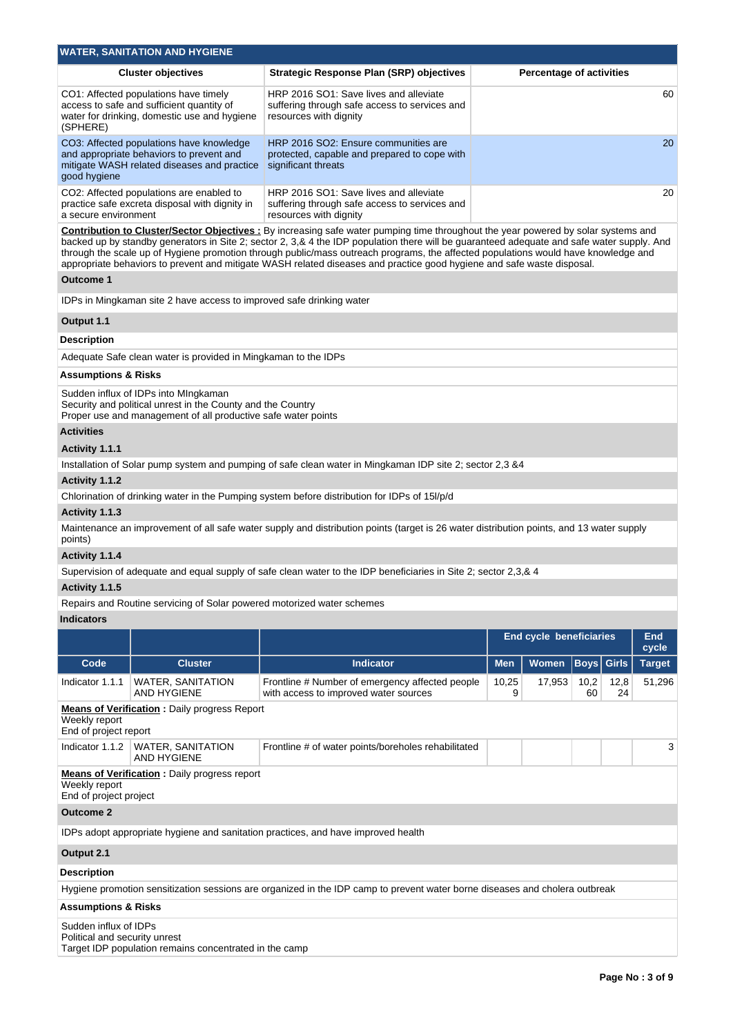|                                                                                                                                                                                                                                                                                                                                                                                                                                                                                                                                                         | <b>WATER, SANITATION AND HYGIENE</b>                                                                                                                                 |                                                                                                                                          |            |                                 |             |              |               |  |  |
|---------------------------------------------------------------------------------------------------------------------------------------------------------------------------------------------------------------------------------------------------------------------------------------------------------------------------------------------------------------------------------------------------------------------------------------------------------------------------------------------------------------------------------------------------------|----------------------------------------------------------------------------------------------------------------------------------------------------------------------|------------------------------------------------------------------------------------------------------------------------------------------|------------|---------------------------------|-------------|--------------|---------------|--|--|
|                                                                                                                                                                                                                                                                                                                                                                                                                                                                                                                                                         | <b>Cluster objectives</b>                                                                                                                                            | <b>Strategic Response Plan (SRP) objectives</b>                                                                                          |            | <b>Percentage of activities</b> |             |              |               |  |  |
| (SPHERE)                                                                                                                                                                                                                                                                                                                                                                                                                                                                                                                                                | CO1: Affected populations have timely<br>access to safe and sufficient quantity of<br>water for drinking, domestic use and hygiene                                   | HRP 2016 SO1: Save lives and alleviate<br>suffering through safe access to services and<br>resources with dignity                        |            |                                 |             |              | 60            |  |  |
| good hygiene                                                                                                                                                                                                                                                                                                                                                                                                                                                                                                                                            | CO3: Affected populations have knowledge<br>and appropriate behaviors to prevent and<br>mitigate WASH related diseases and practice                                  | HRP 2016 SO2: Ensure communities are<br>protected, capable and prepared to cope with<br>significant threats                              | 20         |                                 |             |              |               |  |  |
| a secure environment                                                                                                                                                                                                                                                                                                                                                                                                                                                                                                                                    | CO2: Affected populations are enabled to<br>practice safe excreta disposal with dignity in                                                                           | HRP 2016 SO1: Save lives and alleviate<br>suffering through safe access to services and<br>resources with dignity                        |            |                                 |             |              | 20            |  |  |
| <b>Contribution to Cluster/Sector Objectives</b> : By increasing safe water pumping time throughout the year powered by solar systems and<br>backed up by standby generators in Site 2; sector 2, 3,& 4 the IDP population there will be guaranteed adequate and safe water supply. And<br>through the scale up of Hygiene promotion through public/mass outreach programs, the affected populations would have knowledge and<br>appropriate behaviors to prevent and mitigate WASH related diseases and practice good hygiene and safe waste disposal. |                                                                                                                                                                      |                                                                                                                                          |            |                                 |             |              |               |  |  |
| <b>Outcome 1</b>                                                                                                                                                                                                                                                                                                                                                                                                                                                                                                                                        |                                                                                                                                                                      |                                                                                                                                          |            |                                 |             |              |               |  |  |
|                                                                                                                                                                                                                                                                                                                                                                                                                                                                                                                                                         | IDPs in Mingkaman site 2 have access to improved safe drinking water                                                                                                 |                                                                                                                                          |            |                                 |             |              |               |  |  |
| Output 1.1                                                                                                                                                                                                                                                                                                                                                                                                                                                                                                                                              |                                                                                                                                                                      |                                                                                                                                          |            |                                 |             |              |               |  |  |
| <b>Description</b>                                                                                                                                                                                                                                                                                                                                                                                                                                                                                                                                      |                                                                                                                                                                      |                                                                                                                                          |            |                                 |             |              |               |  |  |
|                                                                                                                                                                                                                                                                                                                                                                                                                                                                                                                                                         | Adequate Safe clean water is provided in Mingkaman to the IDPs                                                                                                       |                                                                                                                                          |            |                                 |             |              |               |  |  |
| <b>Assumptions &amp; Risks</b>                                                                                                                                                                                                                                                                                                                                                                                                                                                                                                                          |                                                                                                                                                                      |                                                                                                                                          |            |                                 |             |              |               |  |  |
|                                                                                                                                                                                                                                                                                                                                                                                                                                                                                                                                                         | Sudden influx of IDPs into MIngkaman<br>Security and political unrest in the County and the Country<br>Proper use and management of all productive safe water points |                                                                                                                                          |            |                                 |             |              |               |  |  |
| <b>Activities</b>                                                                                                                                                                                                                                                                                                                                                                                                                                                                                                                                       |                                                                                                                                                                      |                                                                                                                                          |            |                                 |             |              |               |  |  |
| Activity 1.1.1                                                                                                                                                                                                                                                                                                                                                                                                                                                                                                                                          |                                                                                                                                                                      |                                                                                                                                          |            |                                 |             |              |               |  |  |
|                                                                                                                                                                                                                                                                                                                                                                                                                                                                                                                                                         |                                                                                                                                                                      | Installation of Solar pump system and pumping of safe clean water in Mingkaman IDP site 2; sector 2,3 & 4                                |            |                                 |             |              |               |  |  |
| Activity 1.1.2                                                                                                                                                                                                                                                                                                                                                                                                                                                                                                                                          |                                                                                                                                                                      |                                                                                                                                          |            |                                 |             |              |               |  |  |
|                                                                                                                                                                                                                                                                                                                                                                                                                                                                                                                                                         |                                                                                                                                                                      | Chlorination of drinking water in the Pumping system before distribution for IDPs of 15I/p/d                                             |            |                                 |             |              |               |  |  |
| Activity 1.1.3                                                                                                                                                                                                                                                                                                                                                                                                                                                                                                                                          |                                                                                                                                                                      |                                                                                                                                          |            |                                 |             |              |               |  |  |
| points)                                                                                                                                                                                                                                                                                                                                                                                                                                                                                                                                                 |                                                                                                                                                                      | Maintenance an improvement of all safe water supply and distribution points (target is 26 water distribution points, and 13 water supply |            |                                 |             |              |               |  |  |
| Activity 1.1.4                                                                                                                                                                                                                                                                                                                                                                                                                                                                                                                                          |                                                                                                                                                                      | Supervision of adequate and equal supply of safe clean water to the IDP beneficiaries in Site 2; sector 2,3,& 4                          |            |                                 |             |              |               |  |  |
| Activity 1.1.5                                                                                                                                                                                                                                                                                                                                                                                                                                                                                                                                          |                                                                                                                                                                      |                                                                                                                                          |            |                                 |             |              |               |  |  |
|                                                                                                                                                                                                                                                                                                                                                                                                                                                                                                                                                         | Repairs and Routine servicing of Solar powered motorized water schemes                                                                                               |                                                                                                                                          |            |                                 |             |              |               |  |  |
| <b>Indicators</b>                                                                                                                                                                                                                                                                                                                                                                                                                                                                                                                                       |                                                                                                                                                                      |                                                                                                                                          |            |                                 |             |              |               |  |  |
|                                                                                                                                                                                                                                                                                                                                                                                                                                                                                                                                                         |                                                                                                                                                                      |                                                                                                                                          |            | End cycle beneficiaries         |             |              | <b>End</b>    |  |  |
|                                                                                                                                                                                                                                                                                                                                                                                                                                                                                                                                                         |                                                                                                                                                                      |                                                                                                                                          |            |                                 |             |              | cycle         |  |  |
| Code                                                                                                                                                                                                                                                                                                                                                                                                                                                                                                                                                    | <b>Cluster</b>                                                                                                                                                       | <b>Indicator</b>                                                                                                                         | <b>Men</b> | Women                           | <b>Boys</b> | <b>Girls</b> | <b>Target</b> |  |  |
| Indicator 1.1.1                                                                                                                                                                                                                                                                                                                                                                                                                                                                                                                                         | <b>WATER, SANITATION</b><br>AND HYGIENE                                                                                                                              | Frontline # Number of emergency affected people<br>with access to improved water sources                                                 | 10,25<br>9 | 17,953                          | 10,2<br>60  | 12,8<br>24   | 51,296        |  |  |
| Weekly report<br>End of project report                                                                                                                                                                                                                                                                                                                                                                                                                                                                                                                  | <b>Means of Verification : Daily progress Report</b>                                                                                                                 |                                                                                                                                          |            |                                 |             |              |               |  |  |
| Indicator 1.1.2                                                                                                                                                                                                                                                                                                                                                                                                                                                                                                                                         | <b>WATER, SANITATION</b><br>AND HYGIENE                                                                                                                              | Frontline # of water points/boreholes rehabilitated                                                                                      |            |                                 |             |              | 3             |  |  |
| Weekly report<br>End of project project                                                                                                                                                                                                                                                                                                                                                                                                                                                                                                                 | <b>Means of Verification : Daily progress report</b>                                                                                                                 |                                                                                                                                          |            |                                 |             |              |               |  |  |
| <b>Outcome 2</b>                                                                                                                                                                                                                                                                                                                                                                                                                                                                                                                                        |                                                                                                                                                                      |                                                                                                                                          |            |                                 |             |              |               |  |  |
|                                                                                                                                                                                                                                                                                                                                                                                                                                                                                                                                                         |                                                                                                                                                                      | IDPs adopt appropriate hygiene and sanitation practices, and have improved health                                                        |            |                                 |             |              |               |  |  |
|                                                                                                                                                                                                                                                                                                                                                                                                                                                                                                                                                         |                                                                                                                                                                      |                                                                                                                                          |            |                                 |             |              |               |  |  |
| Output 2.1                                                                                                                                                                                                                                                                                                                                                                                                                                                                                                                                              |                                                                                                                                                                      |                                                                                                                                          |            |                                 |             |              |               |  |  |
| <b>Description</b>                                                                                                                                                                                                                                                                                                                                                                                                                                                                                                                                      |                                                                                                                                                                      |                                                                                                                                          |            |                                 |             |              |               |  |  |
|                                                                                                                                                                                                                                                                                                                                                                                                                                                                                                                                                         |                                                                                                                                                                      | Hygiene promotion sensitization sessions are organized in the IDP camp to prevent water borne diseases and cholera outbreak              |            |                                 |             |              |               |  |  |
| <b>Assumptions &amp; Risks</b>                                                                                                                                                                                                                                                                                                                                                                                                                                                                                                                          |                                                                                                                                                                      |                                                                                                                                          |            |                                 |             |              |               |  |  |
| Sudden influx of IDPs<br>Political and security unrest                                                                                                                                                                                                                                                                                                                                                                                                                                                                                                  | Target IDP population remains concentrated in the camp                                                                                                               |                                                                                                                                          |            |                                 |             |              |               |  |  |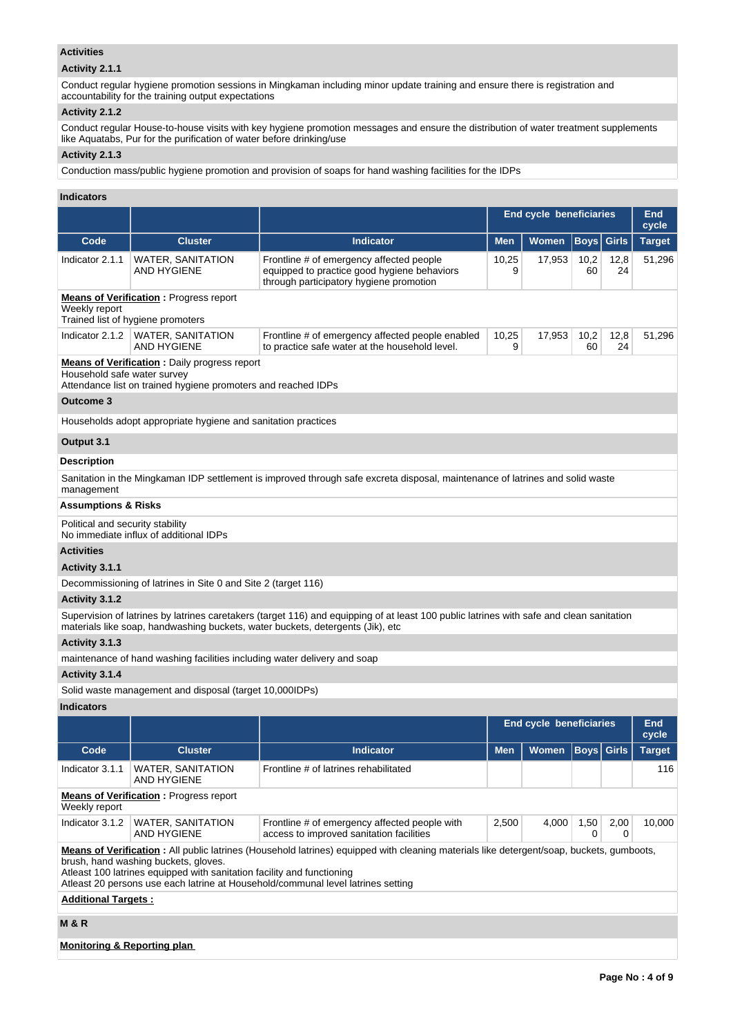## **Activities**

## **Activity 2.1.1**

Conduct regular hygiene promotion sessions in Mingkaman including minor update training and ensure there is registration and accountability for the training output expectations

## **Activity 2.1.2**

Conduct regular House-to-house visits with key hygiene promotion messages and ensure the distribution of water treatment supplements like Aquatabs, Pur for the purification of water before drinking/use

# **Activity 2.1.3**

Conduction mass/public hygiene promotion and provision of soaps for hand washing facilities for the IDPs

## **Indicators**

|                                                                                                                                                                                                                                                                                                                                                |                                                                                                                      |                                                                                                                                                                                                                            | <b>End cycle beneficiaries</b> |                                |             |              | <b>End</b><br>cycle |  |
|------------------------------------------------------------------------------------------------------------------------------------------------------------------------------------------------------------------------------------------------------------------------------------------------------------------------------------------------|----------------------------------------------------------------------------------------------------------------------|----------------------------------------------------------------------------------------------------------------------------------------------------------------------------------------------------------------------------|--------------------------------|--------------------------------|-------------|--------------|---------------------|--|
| Code                                                                                                                                                                                                                                                                                                                                           | <b>Cluster</b>                                                                                                       | <b>Indicator</b>                                                                                                                                                                                                           | <b>Men</b>                     | <b>Women</b>                   | <b>Boys</b> | <b>Girls</b> | <b>Target</b>       |  |
| Indicator 2.1.1                                                                                                                                                                                                                                                                                                                                | WATER, SANITATION<br>AND HYGIENE                                                                                     | Frontline # of emergency affected people<br>equipped to practice good hygiene behaviors<br>through participatory hygiene promotion                                                                                         | 10,25<br>9                     | 17,953                         | 10,2<br>60  | 12,8<br>24   | 51,296              |  |
| Weekly report                                                                                                                                                                                                                                                                                                                                  | <b>Means of Verification:</b> Progress report<br>Trained list of hygiene promoters                                   |                                                                                                                                                                                                                            |                                |                                |             |              |                     |  |
| Indicator 2.1.2                                                                                                                                                                                                                                                                                                                                | <b>WATER, SANITATION</b><br><b>AND HYGIENE</b>                                                                       | Frontline # of emergency affected people enabled<br>to practice safe water at the household level.                                                                                                                         | 10,25<br>9                     | 17,953                         | 10,2<br>60  | 12,8<br>24   | 51,296              |  |
| Household safe water survey                                                                                                                                                                                                                                                                                                                    | <b>Means of Verification:</b> Daily progress report<br>Attendance list on trained hygiene promoters and reached IDPs |                                                                                                                                                                                                                            |                                |                                |             |              |                     |  |
| <b>Outcome 3</b>                                                                                                                                                                                                                                                                                                                               |                                                                                                                      |                                                                                                                                                                                                                            |                                |                                |             |              |                     |  |
|                                                                                                                                                                                                                                                                                                                                                | Households adopt appropriate hygiene and sanitation practices                                                        |                                                                                                                                                                                                                            |                                |                                |             |              |                     |  |
| Output 3.1                                                                                                                                                                                                                                                                                                                                     |                                                                                                                      |                                                                                                                                                                                                                            |                                |                                |             |              |                     |  |
| <b>Description</b>                                                                                                                                                                                                                                                                                                                             |                                                                                                                      |                                                                                                                                                                                                                            |                                |                                |             |              |                     |  |
| management                                                                                                                                                                                                                                                                                                                                     |                                                                                                                      | Sanitation in the Mingkaman IDP settlement is improved through safe excreta disposal, maintenance of latrines and solid waste                                                                                              |                                |                                |             |              |                     |  |
| Assumptions & Risks                                                                                                                                                                                                                                                                                                                            |                                                                                                                      |                                                                                                                                                                                                                            |                                |                                |             |              |                     |  |
| Political and security stability                                                                                                                                                                                                                                                                                                               | No immediate influx of additional IDPs                                                                               |                                                                                                                                                                                                                            |                                |                                |             |              |                     |  |
| <b>Activities</b>                                                                                                                                                                                                                                                                                                                              |                                                                                                                      |                                                                                                                                                                                                                            |                                |                                |             |              |                     |  |
| Activity 3.1.1                                                                                                                                                                                                                                                                                                                                 |                                                                                                                      |                                                                                                                                                                                                                            |                                |                                |             |              |                     |  |
|                                                                                                                                                                                                                                                                                                                                                | Decommissioning of latrines in Site 0 and Site 2 (target 116)                                                        |                                                                                                                                                                                                                            |                                |                                |             |              |                     |  |
| Activity 3.1.2                                                                                                                                                                                                                                                                                                                                 |                                                                                                                      |                                                                                                                                                                                                                            |                                |                                |             |              |                     |  |
|                                                                                                                                                                                                                                                                                                                                                |                                                                                                                      | Supervision of latrines by latrines caretakers (target 116) and equipping of at least 100 public latrines with safe and clean sanitation<br>materials like soap, handwashing buckets, water buckets, detergents (Jik), etc |                                |                                |             |              |                     |  |
| Activity 3.1.3                                                                                                                                                                                                                                                                                                                                 |                                                                                                                      |                                                                                                                                                                                                                            |                                |                                |             |              |                     |  |
|                                                                                                                                                                                                                                                                                                                                                | maintenance of hand washing facilities including water delivery and soap                                             |                                                                                                                                                                                                                            |                                |                                |             |              |                     |  |
| Activity 3.1.4                                                                                                                                                                                                                                                                                                                                 |                                                                                                                      |                                                                                                                                                                                                                            |                                |                                |             |              |                     |  |
|                                                                                                                                                                                                                                                                                                                                                | Solid waste management and disposal (target 10,000IDPs)                                                              |                                                                                                                                                                                                                            |                                |                                |             |              |                     |  |
| <b>Indicators</b>                                                                                                                                                                                                                                                                                                                              |                                                                                                                      |                                                                                                                                                                                                                            |                                |                                |             |              |                     |  |
|                                                                                                                                                                                                                                                                                                                                                |                                                                                                                      |                                                                                                                                                                                                                            |                                | <b>End cycle beneficiaries</b> |             |              | End<br>cycle        |  |
| Code                                                                                                                                                                                                                                                                                                                                           | <b>Cluster</b>                                                                                                       | <b>Indicator</b>                                                                                                                                                                                                           | <b>Men</b>                     | Women Boys Girls               |             |              | <b>Target</b>       |  |
| Indicator 3.1.1                                                                                                                                                                                                                                                                                                                                | <b>WATER, SANITATION</b><br><b>AND HYGIENE</b>                                                                       | Frontline # of latrines rehabilitated                                                                                                                                                                                      |                                |                                |             |              | 116                 |  |
| Weekly report                                                                                                                                                                                                                                                                                                                                  | <b>Means of Verification: Progress report</b>                                                                        |                                                                                                                                                                                                                            |                                |                                |             |              |                     |  |
| Indicator 3.1.2                                                                                                                                                                                                                                                                                                                                | <b>WATER, SANITATION</b><br><b>AND HYGIENE</b>                                                                       | Frontline # of emergency affected people with<br>access to improved sanitation facilities                                                                                                                                  | 2,500                          | 4,000                          | 1,50<br>0   | 2,00<br>0    | 10,000              |  |
| Means of Verification: All public latrines (Household latrines) equipped with cleaning materials like detergent/soap, buckets, qumboots,<br>brush, hand washing buckets, gloves.<br>Atleast 100 latrines equipped with sanitation facility and functioning<br>Atleast 20 persons use each latrine at Household/communal level latrines setting |                                                                                                                      |                                                                                                                                                                                                                            |                                |                                |             |              |                     |  |
| <b>Additional Targets:</b>                                                                                                                                                                                                                                                                                                                     |                                                                                                                      |                                                                                                                                                                                                                            |                                |                                |             |              |                     |  |
| M & R                                                                                                                                                                                                                                                                                                                                          |                                                                                                                      |                                                                                                                                                                                                                            |                                |                                |             |              |                     |  |
| <b>Monitoring &amp; Reporting plan</b>                                                                                                                                                                                                                                                                                                         |                                                                                                                      |                                                                                                                                                                                                                            |                                |                                |             |              |                     |  |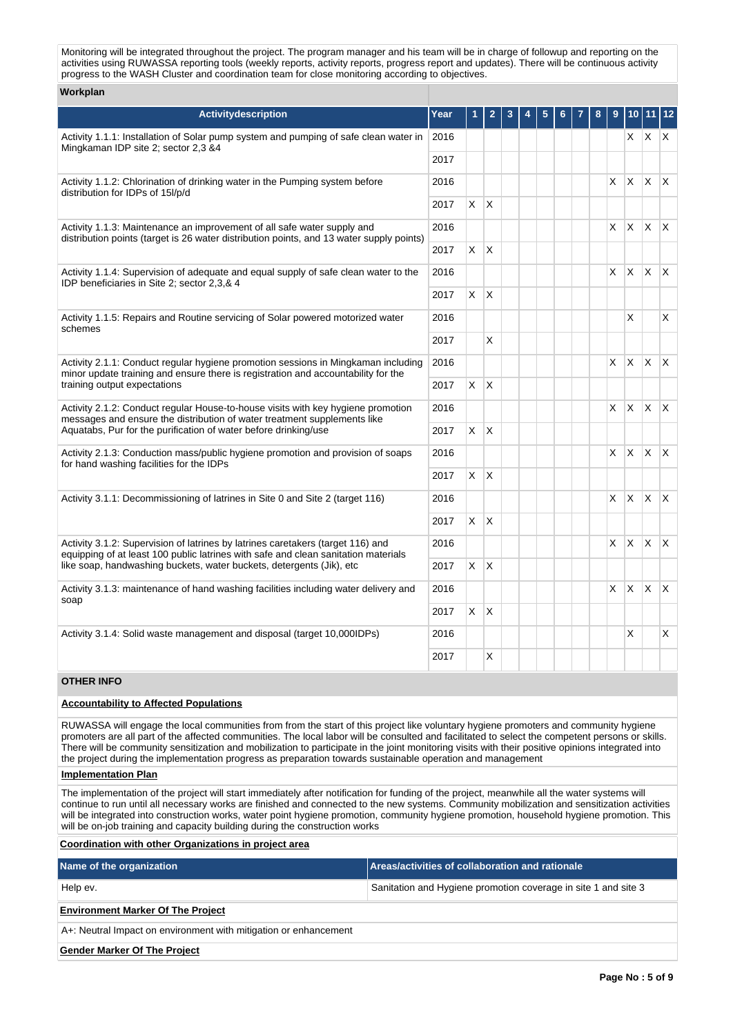Monitoring will be integrated throughout the project. The program manager and his team will be in charge of followup and reporting on the activities using RUWASSA reporting tools (weekly reports, activity reports, progress report and updates). There will be continuous activity progress to the WASH Cluster and coordination team for close monitoring according to objectives.

#### **Workplan**

| Activitydescription                                                                                                                                                                 | Year | 1            | $\overline{2}$ | 3 | 4 | 5 |  | 8 | 9  |              | $10$ 11 12   |                         |
|-------------------------------------------------------------------------------------------------------------------------------------------------------------------------------------|------|--------------|----------------|---|---|---|--|---|----|--------------|--------------|-------------------------|
| Activity 1.1.1: Installation of Solar pump system and pumping of safe clean water in<br>2016<br>Mingkaman IDP site 2; sector 2,3 &4                                                 |      |              |                |   |   |   |  |   |    |              | $X$ $X$ $X$  |                         |
|                                                                                                                                                                                     | 2017 |              |                |   |   |   |  |   |    |              |              |                         |
| Activity 1.1.2: Chlorination of drinking water in the Pumping system before<br>2016<br>distribution for IDPs of 15l/p/d<br>2017                                                     |      |              |                |   |   |   |  |   | X. | X.           | ΙX.          | $\mathsf{X}$            |
|                                                                                                                                                                                     |      | $\mathsf{X}$ | ΙX.            |   |   |   |  |   |    |              |              |                         |
| Activity 1.1.3: Maintenance an improvement of all safe water supply and<br>2016<br>distribution points (target is 26 water distribution points, and 13 water supply points)<br>2017 |      |              |                |   |   |   |  |   | X. | X            | $\mathsf{X}$ | $\mathsf{X}$            |
|                                                                                                                                                                                     |      | $\mathsf{X}$ | X              |   |   |   |  |   |    |              |              |                         |
| Activity 1.1.4: Supervision of adequate and equal supply of safe clean water to the<br>IDP beneficiaries in Site 2; sector 2,3,& 4                                                  | 2016 |              |                |   |   |   |  |   | X. | $\times$     | ΙX.          | $\mathsf{X}$            |
|                                                                                                                                                                                     | 2017 | X            | ΙX.            |   |   |   |  |   |    |              |              |                         |
| Activity 1.1.5: Repairs and Routine servicing of Solar powered motorized water<br>schemes                                                                                           | 2016 |              |                |   |   |   |  |   |    | X            |              | X                       |
|                                                                                                                                                                                     | 2017 |              | X              |   |   |   |  |   |    |              |              |                         |
| Activity 2.1.1: Conduct regular hygiene promotion sessions in Mingkaman including                                                                                                   |      |              |                |   |   |   |  |   | X. | <b>X</b>     | $\mathsf{X}$ | $\mathsf{X}$            |
| minor update training and ensure there is registration and accountability for the<br>training output expectations                                                                   | 2017 | $X$ $X$      |                |   |   |   |  |   |    |              |              |                         |
| Activity 2.1.2: Conduct regular House-to-house visits with key hygiene promotion<br>messages and ensure the distribution of water treatment supplements like                        | 2016 |              |                |   |   |   |  |   | X. | X            | $\mathsf{X}$ | $\mathsf{X}$            |
| Aquatabs, Pur for the purification of water before drinking/use                                                                                                                     | 2017 | $X$ $X$      |                |   |   |   |  |   |    |              |              |                         |
| Activity 2.1.3: Conduction mass/public hygiene promotion and provision of soaps<br>for hand washing facilities for the IDPs                                                         | 2016 |              |                |   |   |   |  |   | X. | $\times$     | IX.          | $\mathsf{X}$            |
|                                                                                                                                                                                     | 2017 | X.           | $\mathsf{X}$   |   |   |   |  |   |    |              |              |                         |
| Activity 3.1.1: Decommissioning of latrines in Site 0 and Site 2 (target 116)                                                                                                       | 2016 |              |                |   |   |   |  |   | X  | $\mathsf{X}$ | $\mathsf{X}$ | $\mathsf{I} \mathsf{X}$ |
|                                                                                                                                                                                     | 2017 | X.           | ΙX.            |   |   |   |  |   |    |              |              |                         |
| Activity 3.1.2: Supervision of latrines by latrines caretakers (target 116) and<br>equipping of at least 100 public latrines with safe and clean sanitation materials               | 2016 |              |                |   |   |   |  |   | X  | X            | X            | $\mathsf{I}\mathsf{X}$  |
| like soap, handwashing buckets, water buckets, detergents (Jik), etc                                                                                                                | 2017 | X            | $\mathsf{X}$   |   |   |   |  |   |    |              |              |                         |
| Activity 3.1.3: maintenance of hand washing facilities including water delivery and<br>soap                                                                                         |      |              |                |   |   |   |  |   | X. | $\mathsf{X}$ | $\mathsf{X}$ | $\mathsf{X}$            |
|                                                                                                                                                                                     |      | $\mathsf{X}$ | $\mathsf{X}$   |   |   |   |  |   |    |              |              |                         |
| Activity 3.1.4: Solid waste management and disposal (target 10,000IDPs)                                                                                                             | 2016 |              |                |   |   |   |  |   |    | X            |              | X                       |
|                                                                                                                                                                                     | 2017 |              | X              |   |   |   |  |   |    |              |              |                         |

### **OTHER INFO**

#### **Accountability to Affected Populations**

RUWASSA will engage the local communities from from the start of this project like voluntary hygiene promoters and community hygiene promoters are all part of the affected communities. The local labor will be consulted and facilitated to select the competent persons or skills. There will be community sensitization and mobilization to participate in the joint monitoring visits with their positive opinions integrated into the project during the implementation progress as preparation towards sustainable operation and management

**Implementation Plan**

The implementation of the project will start immediately after notification for funding of the project, meanwhile all the water systems will continue to run until all necessary works are finished and connected to the new systems. Community mobilization and sensitization activities will be integrated into construction works, water point hygiene promotion, community hygiene promotion, household hygiene promotion. This will be on-job training and capacity building during the construction works

#### **Coordination with other Organizations in project area**

| Name of the organization                                         | Areas/activities of collaboration and rationale                |  |  |  |  |  |  |  |
|------------------------------------------------------------------|----------------------------------------------------------------|--|--|--|--|--|--|--|
| Help ev.                                                         | Sanitation and Hygiene promotion coverage in site 1 and site 3 |  |  |  |  |  |  |  |
| <b>Environment Marker Of The Project</b>                         |                                                                |  |  |  |  |  |  |  |
| A+: Neutral Impact on environment with mitigation or enhancement |                                                                |  |  |  |  |  |  |  |
| <b>Gender Marker Of The Project</b>                              |                                                                |  |  |  |  |  |  |  |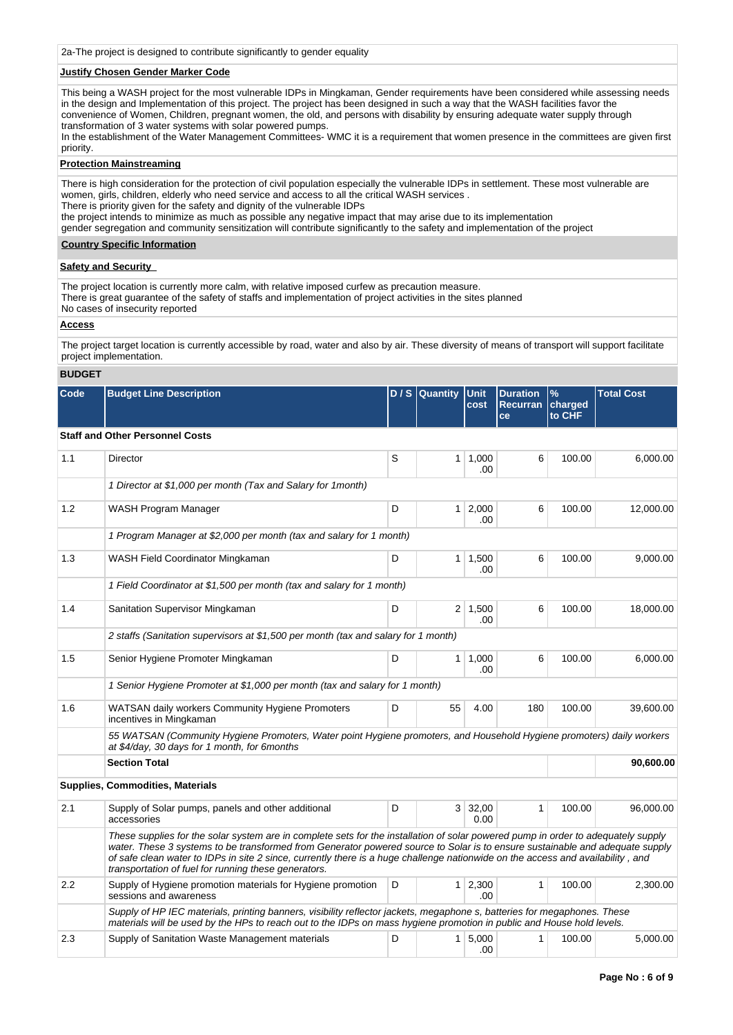2a-The project is designed to contribute significantly to gender equality

### **Justify Chosen Gender Marker Code**

This being a WASH project for the most vulnerable IDPs in Mingkaman, Gender requirements have been considered while assessing needs in the design and Implementation of this project. The project has been designed in such a way that the WASH facilities favor the convenience of Women, Children, pregnant women, the old, and persons with disability by ensuring adequate water supply through transformation of 3 water systems with solar powered pumps. In the establishment of the Water Management Committees- WMC it is a requirement that women presence in the committees are given first

priority.

### **Protection Mainstreaming**

There is high consideration for the protection of civil population especially the vulnerable IDPs in settlement. These most vulnerable are women, girls, children, elderly who need service and access to all the critical WASH services . There is priority given for the safety and dignity of the vulnerable IDPs the project intends to minimize as much as possible any negative impact that may arise due to its implementation gender segregation and community sensitization will contribute significantly to the safety and implementation of the project

#### **Country Specific Information**

### **Safety and Security**

The project location is currently more calm, with relative imposed curfew as precaution measure. There is great guarantee of the safety of staffs and implementation of project activities in the sites planned No cases of insecurity reported

### **Access**

The project target location is currently accessible by road, water and also by air. These diversity of means of transport will support facilitate project implementation.

### **BUDGET**

| Code | <b>Budget Line Description</b> |  |  |  | D/S Quantity Unit Duration %<br><b>Cost Recurran charged</b><br><b>I</b> ce | <b>Ito CHF</b> | <b>Total Cost</b> |
|------|--------------------------------|--|--|--|-----------------------------------------------------------------------------|----------------|-------------------|
|------|--------------------------------|--|--|--|-----------------------------------------------------------------------------|----------------|-------------------|

## **Staff and Other Personnel Costs**

| 1.1 | Director                                                                                                                                                                                                                                                                                                                                                                                                                                                     | S |                | $1 \mid 1.000$<br>.00  | 6            | 100.00 | 6.000.00  |
|-----|--------------------------------------------------------------------------------------------------------------------------------------------------------------------------------------------------------------------------------------------------------------------------------------------------------------------------------------------------------------------------------------------------------------------------------------------------------------|---|----------------|------------------------|--------------|--------|-----------|
|     | 1 Director at \$1,000 per month (Tax and Salary for 1 month)                                                                                                                                                                                                                                                                                                                                                                                                 |   |                |                        |              |        |           |
| 1.2 | WASH Program Manager                                                                                                                                                                                                                                                                                                                                                                                                                                         | D |                | $1 \mid 2,000$<br>.00. | 6            | 100.00 | 12,000.00 |
|     | 1 Program Manager at \$2,000 per month (tax and salary for 1 month)                                                                                                                                                                                                                                                                                                                                                                                          |   |                |                        |              |        |           |
| 1.3 | WASH Field Coordinator Mingkaman                                                                                                                                                                                                                                                                                                                                                                                                                             | D |                | $1 \mid 1,500$<br>.00  | 6            | 100.00 | 9,000.00  |
|     | 1 Field Coordinator at \$1,500 per month (tax and salary for 1 month)                                                                                                                                                                                                                                                                                                                                                                                        |   |                |                        |              |        |           |
| 1.4 | Sanitation Supervisor Mingkaman                                                                                                                                                                                                                                                                                                                                                                                                                              | D |                | $2 \mid 1,500$<br>.00. | 6            | 100.00 | 18,000.00 |
|     | 2 staffs (Sanitation supervisors at \$1,500 per month (tax and salary for 1 month)                                                                                                                                                                                                                                                                                                                                                                           |   |                |                        |              |        |           |
| 1.5 | Senior Hygiene Promoter Mingkaman                                                                                                                                                                                                                                                                                                                                                                                                                            | D | 1 <sup>1</sup> | 1.000<br>.00           | 6            | 100.00 | 6.000.00  |
|     | 1 Senior Hygiene Promoter at \$1,000 per month (tax and salary for 1 month)                                                                                                                                                                                                                                                                                                                                                                                  |   |                |                        |              |        |           |
| 1.6 | WATSAN daily workers Community Hygiene Promoters<br>incentives in Mingkaman                                                                                                                                                                                                                                                                                                                                                                                  | D | 55             | 4.00                   | 180          | 100.00 | 39,600.00 |
|     | 55 WATSAN (Community Hygiene Promoters, Water point Hygiene promoters, and Household Hygiene promoters) daily workers<br>at \$4/day, 30 days for 1 month, for 6months                                                                                                                                                                                                                                                                                        |   |                |                        |              |        |           |
|     | <b>Section Total</b>                                                                                                                                                                                                                                                                                                                                                                                                                                         |   |                |                        |              |        | 90,600.00 |
|     | <b>Supplies, Commodities, Materials</b>                                                                                                                                                                                                                                                                                                                                                                                                                      |   |                |                        |              |        |           |
| 2.1 | Supply of Solar pumps, panels and other additional<br>accessories                                                                                                                                                                                                                                                                                                                                                                                            | D |                | 3 32,00<br>0.00        | $\mathbf{1}$ | 100.00 | 96,000.00 |
|     | These supplies for the solar system are in complete sets for the installation of solar powered pump in order to adequately supply<br>water. These 3 systems to be transformed from Generator powered source to Solar is to ensure sustainable and adequate supply<br>of safe clean water to IDPs in site 2 since, currently there is a huge challenge nationwide on the access and availability, and<br>transportation of fuel for running these generators. |   |                |                        |              |        |           |
| 2.2 | Supply of Hygiene promotion materials for Hygiene promotion<br>sessions and awareness                                                                                                                                                                                                                                                                                                                                                                        | D |                | $1 \ 2,300$<br>.00     | 1            | 100.00 | 2,300.00  |
|     | Supply of HP IEC materials, printing banners, visibility reflector jackets, megaphone s, batteries for megaphones. These<br>materials will be used by the HPs to reach out to the IDPs on mass hygiene promotion in public and House hold levels.                                                                                                                                                                                                            |   |                |                        |              |        |           |
| 2.3 | Supply of Sanitation Waste Management materials                                                                                                                                                                                                                                                                                                                                                                                                              | D | 1              | 5.000<br>.00.          | 1            | 100.00 | 5,000.00  |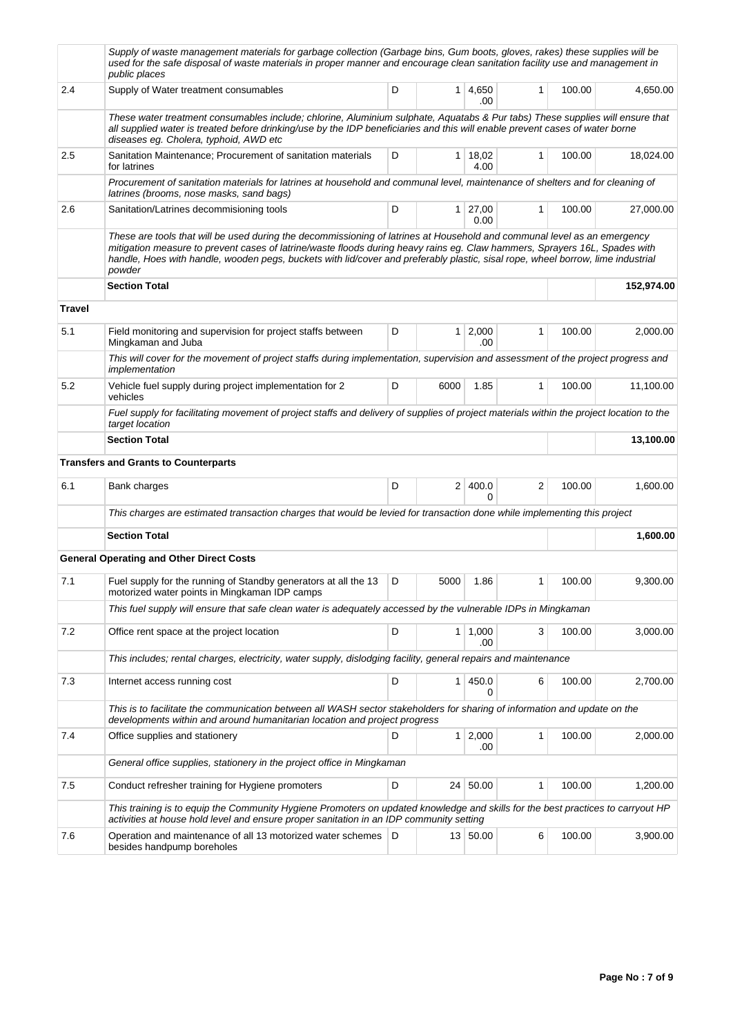|        | Supply of waste management materials for garbage collection (Garbage bins, Gum boots, gloves, rakes) these supplies will be<br>used for the safe disposal of waste materials in proper manner and encourage clean sanitation facility use and management in<br>public places                                                                                                                        |   |                |                        |   |        |            |
|--------|-----------------------------------------------------------------------------------------------------------------------------------------------------------------------------------------------------------------------------------------------------------------------------------------------------------------------------------------------------------------------------------------------------|---|----------------|------------------------|---|--------|------------|
| 2.4    | Supply of Water treatment consumables                                                                                                                                                                                                                                                                                                                                                               | D |                | 1 4,650<br>.00         | 1 | 100.00 | 4,650.00   |
|        | These water treatment consumables include; chlorine, Aluminium sulphate, Aquatabs & Pur tabs) These supplies will ensure that<br>all supplied water is treated before drinking/use by the IDP beneficiaries and this will enable prevent cases of water borne<br>diseases eg. Cholera, typhoid, AWD etc                                                                                             |   |                |                        |   |        |            |
| 2.5    | Sanitation Maintenance; Procurement of sanitation materials<br>for latrines                                                                                                                                                                                                                                                                                                                         | D | 1 <sup>1</sup> | 18,02<br>4.00          | 1 | 100.00 | 18,024.00  |
|        | Procurement of sanitation materials for latrines at household and communal level, maintenance of shelters and for cleaning of<br>latrines (brooms, nose masks, sand bags)                                                                                                                                                                                                                           |   |                |                        |   |        |            |
| 2.6    | Sanitation/Latrines decommisioning tools                                                                                                                                                                                                                                                                                                                                                            | D |                | $1 \mid 27,00$<br>0.00 | 1 | 100.00 | 27,000.00  |
|        | These are tools that will be used during the decommissioning of latrines at Household and communal level as an emergency<br>mitigation measure to prevent cases of latrine/waste floods during heavy rains eg. Claw hammers, Sprayers 16L, Spades with<br>handle, Hoes with handle, wooden pegs, buckets with lid/cover and preferably plastic, sisal rope, wheel borrow, lime industrial<br>powder |   |                |                        |   |        |            |
|        | <b>Section Total</b>                                                                                                                                                                                                                                                                                                                                                                                |   |                |                        |   |        | 152,974.00 |
| Travel |                                                                                                                                                                                                                                                                                                                                                                                                     |   |                |                        |   |        |            |
| 5.1    | Field monitoring and supervision for project staffs between<br>Mingkaman and Juba                                                                                                                                                                                                                                                                                                                   | D |                | $1 \mid 2,000$<br>.00  | 1 | 100.00 | 2,000.00   |
|        | This will cover for the movement of project staffs during implementation, supervision and assessment of the project progress and<br>implementation                                                                                                                                                                                                                                                  |   |                |                        |   |        |            |
| 5.2    | Vehicle fuel supply during project implementation for 2<br>vehicles                                                                                                                                                                                                                                                                                                                                 | D | 6000           | 1.85                   | 1 | 100.00 | 11,100.00  |
|        | Fuel supply for facilitating movement of project staffs and delivery of supplies of project materials within the project location to the<br>target location                                                                                                                                                                                                                                         |   |                |                        |   |        |            |
|        | <b>Section Total</b>                                                                                                                                                                                                                                                                                                                                                                                |   |                |                        |   |        | 13,100.00  |
|        | <b>Transfers and Grants to Counterparts</b>                                                                                                                                                                                                                                                                                                                                                         |   |                |                        |   |        |            |
| 6.1    | Bank charges                                                                                                                                                                                                                                                                                                                                                                                        | D |                | 2 400.0<br>0           | 2 | 100.00 | 1,600.00   |
|        | This charges are estimated transaction charges that would be levied for transaction done while implementing this project                                                                                                                                                                                                                                                                            |   |                |                        |   |        |            |
|        | <b>Section Total</b>                                                                                                                                                                                                                                                                                                                                                                                |   |                |                        |   |        | 1,600.00   |
|        | <b>General Operating and Other Direct Costs</b>                                                                                                                                                                                                                                                                                                                                                     |   |                |                        |   |        |            |
| 7.1    | Fuel supply for the running of Standby generators at all the 13<br>motorized water points in Mingkaman IDP camps                                                                                                                                                                                                                                                                                    | D | 5000           | 1.86                   | 1 | 100.00 | 9,300.00   |
|        | This fuel supply will ensure that safe clean water is adequately accessed by the vulnerable IDPs in Mingkaman                                                                                                                                                                                                                                                                                       |   |                |                        |   |        |            |
| 7.2    | Office rent space at the project location                                                                                                                                                                                                                                                                                                                                                           | D |                | $1 \mid 1,000$<br>.00  | 3 | 100.00 | 3,000.00   |
|        | This includes; rental charges, electricity, water supply, dislodging facility, general repairs and maintenance                                                                                                                                                                                                                                                                                      |   |                |                        |   |        |            |
| 7.3    | Internet access running cost                                                                                                                                                                                                                                                                                                                                                                        | D |                | 1   450.0              | 6 | 100.00 | 2,700.00   |
|        | This is to facilitate the communication between all WASH sector stakeholders for sharing of information and update on the<br>developments within and around humanitarian location and project progress                                                                                                                                                                                              |   |                |                        |   |        |            |
| 7.4    | Office supplies and stationery                                                                                                                                                                                                                                                                                                                                                                      | D |                | $1 \quad 2,000$<br>.00 | 1 | 100.00 | 2,000.00   |
|        | General office supplies, stationery in the project office in Mingkaman                                                                                                                                                                                                                                                                                                                              |   |                |                        |   |        |            |
| 7.5    | Conduct refresher training for Hygiene promoters                                                                                                                                                                                                                                                                                                                                                    | D |                | 24 50.00               | 1 | 100.00 | 1,200.00   |
|        | This training is to equip the Community Hygiene Promoters on updated knowledge and skills for the best practices to carryout HP<br>activities at house hold level and ensure proper sanitation in an IDP community setting                                                                                                                                                                          |   |                |                        |   |        |            |
| 7.6    | Operation and maintenance of all 13 motorized water schemes<br>besides handpump boreholes                                                                                                                                                                                                                                                                                                           | D |                | 13 50.00               | 6 | 100.00 | 3,900.00   |